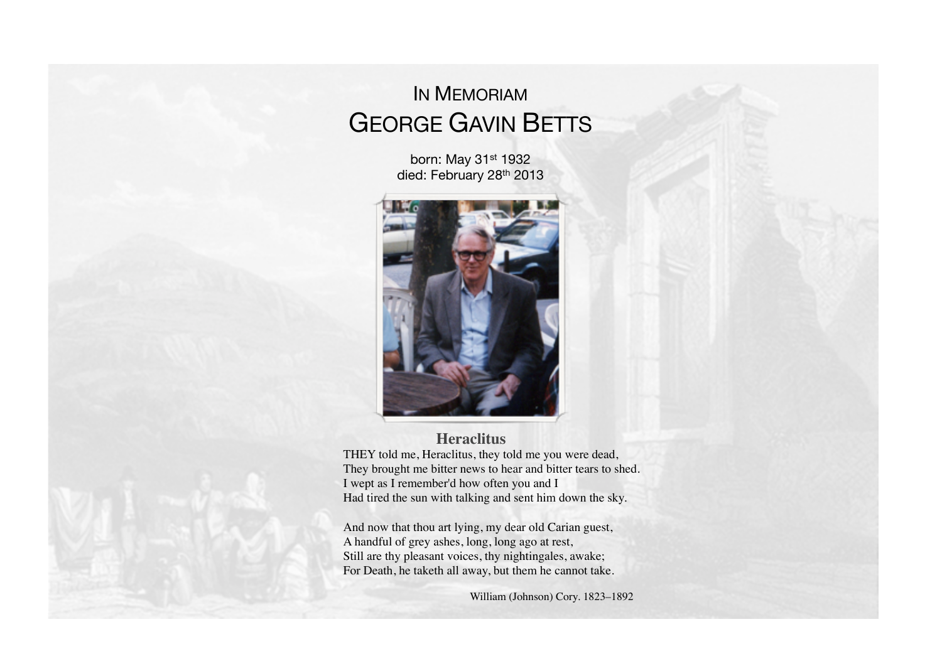# IN MEMORIAM GEORGE GAVIN BETTS

born: May 31st 1932 died: February 28<sup>th</sup> 2013



#### **Heraclitus**

THEY told me, Heraclitus, they told me you were dead, They brought me bitter news to hear and bitter tears to shed. I wept as I remember'd how often you and I Had tired the sun with talking and sent him down the sky.

And now that thou art lying, my dear old Carian guest, A handful of grey ashes, long, long ago at rest, Still are thy pleasant voices, thy nightingales, awake; For Death, he taketh all away, but them he cannot take.

William (Johnson) Cory. 1823-1892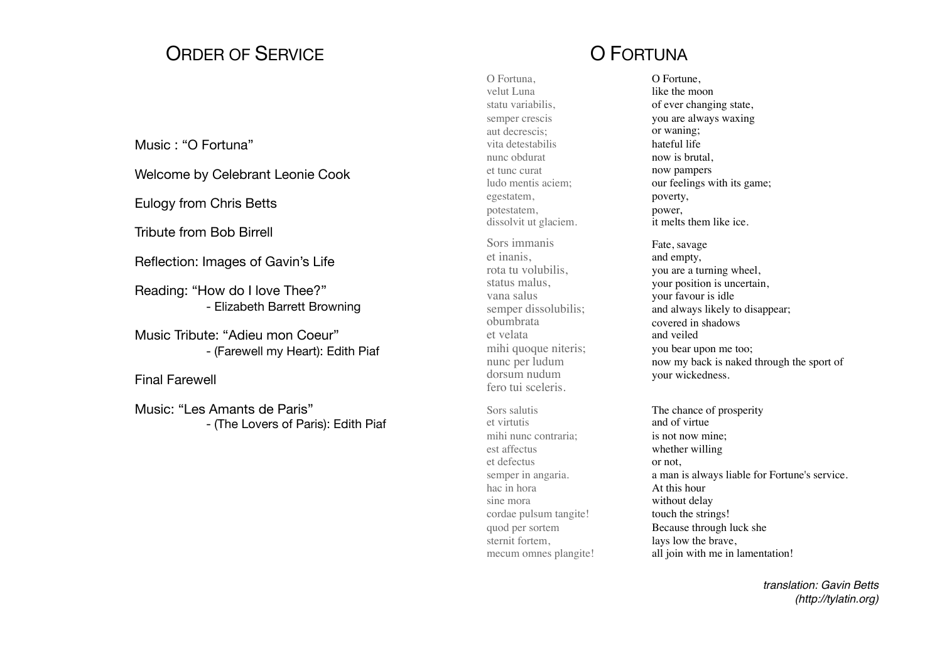## ORDER OF SERVICE

#### Music : "O Fortuna"

Welcome by Celebrant Leonie Cook

Eulogy from Chris Betts

Tribute from Bob Birrell

Reflection: Images of Gavin's Life

Reading: "How do I love Thee?" - Elizabeth Barrett Browning

Music Tribute: "Adieu mon Coeur" - (Farewell my Heart): Edith Piaf

Final Farewell

Music: "Les Amants de Paris" - (The Lovers of Paris): Edith Piaf

## O FORTUNA

O Fortuna, velut Luna statu variabilis, semper crescis aut decrescis; vita detestabilis nunc obdurat et tunc curat ludo mentis aciem; egestatem, potestatem, dissolvit ut glaciem.

Sors immanis et inanis, rota tu volubilis, status malus, vana salus semper dissolubilis; obumbrata et velata mihi quoque niteris; nunc per ludum dorsum nudum fero tui sceleris.

Sors salutis et virtutis mihi nunc contraria; est affectus et defectus semper in angaria. hac in hora sine mora cordae pulsum tangite! quod per sortem sternit fortem, mecum omnes plangite!

O Fortune, like the moon of ever changing state, you are always waxing or waning; hateful life now is brutal, now pampers our feelings with its game; poverty, power, it melts them like ice.

Fate, savage and empty, you are a turning wheel, your position is uncertain, your favour is idle and always likely to disappear; covered in shadows and veiled you bear upon me too; now my back is naked through the sport of your wickedness.

The chance of prosperity and of virtue is not now mine; whether willing or not, a man is always liable for Fortune's service. At this hour without delay touch the strings! Because through luck she lays low the brave, all join with me in lamentation!

> *translation: Gavin Betts (http://tylatin.org)*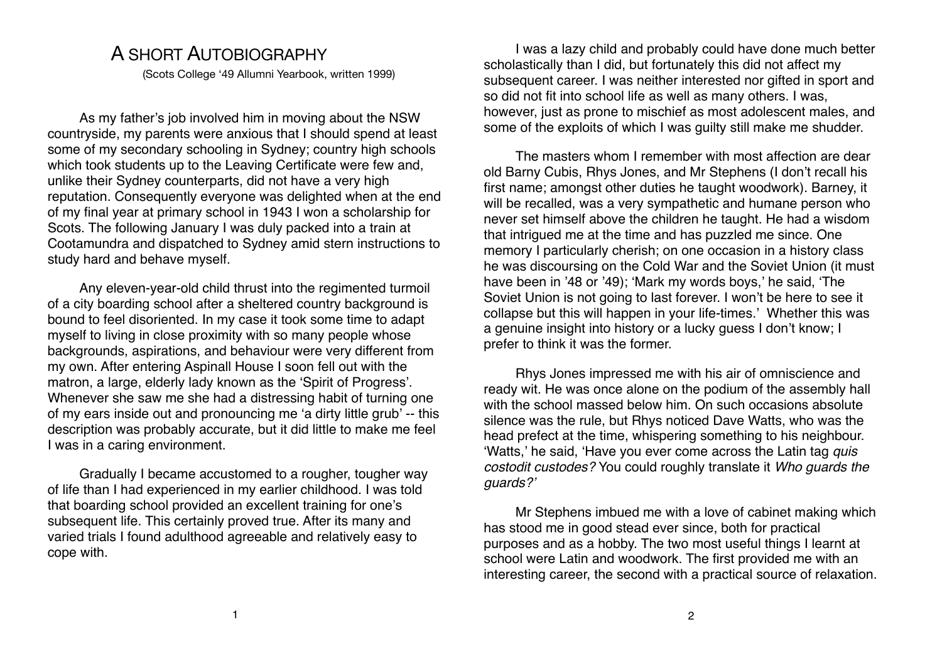### A SHORT AUTOBIOGRAPHY

(Scots College '49 Allumni Yearbook, written 1999)

As my father's job involved him in moving about the NSW countryside, my parents were anxious that I should spend at least some of my secondary schooling in Sydney; country high schools which took students up to the Leaving Certificate were few and, unlike their Sydney counterparts, did not have a very high reputation. Consequently everyone was delighted when at the end of my final year at primary school in 1943 I won a scholarship for Scots. The following January I was duly packed into a train at Cootamundra and dispatched to Sydney amid stern instructions to study hard and behave myself.

Any eleven-year-old child thrust into the regimented turmoil of a city boarding school after a sheltered country background is bound to feel disoriented. In my case it took some time to adapt myself to living in close proximity with so many people whose backgrounds, aspirations, and behaviour were very different from my own. After entering Aspinall House I soon fell out with the matron, a large, elderly lady known as the ʻSpirit of Progress'. Whenever she saw me she had a distressing habit of turning one of my ears inside out and pronouncing me ʻa dirty little grub' -- this description was probably accurate, but it did little to make me feel I was in a caring environment.

Gradually I became accustomed to a rougher, tougher way of life than I had experienced in my earlier childhood. I was told that boarding school provided an excellent training for one's subsequent life. This certainly proved true. After its many and varied trials I found adulthood agreeable and relatively easy to cope with.

I was a lazy child and probably could have done much better scholastically than I did, but fortunately this did not affect my subsequent career. I was neither interested nor gifted in sport and so did not fit into school life as well as many others. I was, however, just as prone to mischief as most adolescent males, and some of the exploits of which I was guilty still make me shudder.

The masters whom I remember with most affection are dear old Barny Cubis, Rhys Jones, and Mr Stephens (I don't recall his first name; amongst other duties he taught woodwork). Barney, it will be recalled, was a very sympathetic and humane person who never set himself above the children he taught. He had a wisdom that intrigued me at the time and has puzzled me since. One memory I particularly cherish; on one occasion in a history class he was discoursing on the Cold War and the Soviet Union (it must have been in '48 or '49); ʻMark my words boys,' he said, ʻThe Soviet Union is not going to last forever. I won't be here to see it collapse but this will happen in your life-times.' Whether this was a genuine insight into history or a lucky guess I don't know; I prefer to think it was the former.

Rhys Jones impressed me with his air of omniscience and ready wit. He was once alone on the podium of the assembly hall with the school massed below him. On such occasions absolute silence was the rule, but Rhys noticed Dave Watts, who was the head prefect at the time, whispering something to his neighbour. ʻWatts,' he said, ʻHave you ever come across the Latin tag *quis costodit custodes?* You could roughly translate it *Who guards the guards?*'

Mr Stephens imbued me with a love of cabinet making which has stood me in good stead ever since, both for practical purposes and as a hobby. The two most useful things I learnt at school were Latin and woodwork. The first provided me with an interesting career, the second with a practical source of relaxation.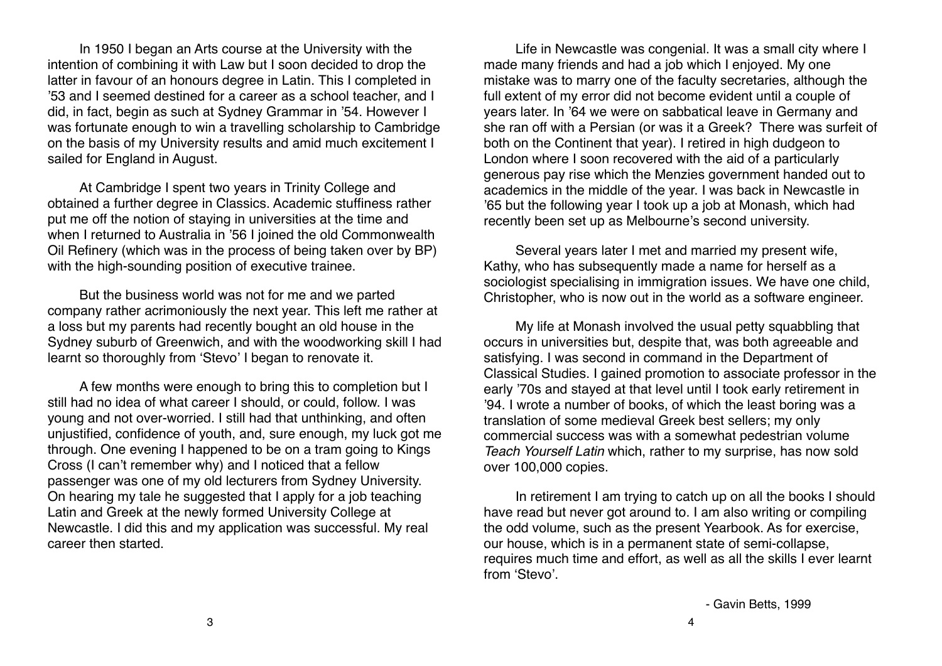In 1950 I began an Arts course at the University with the intention of combining it with Law but I soon decided to drop the latter in favour of an honours degree in Latin. This I completed in '53 and I seemed destined for a career as a school teacher, and I did, in fact, begin as such at Sydney Grammar in '54. However I was fortunate enough to win a travelling scholarship to Cambridge on the basis of my University results and amid much excitement I sailed for England in August.

At Cambridge I spent two years in Trinity College and obtained a further degree in Classics. Academic stuffiness rather put me off the notion of staying in universities at the time and when I returned to Australia in '56 I joined the old Commonwealth Oil Refinery (which was in the process of being taken over by BP) with the high-sounding position of executive trainee.

But the business world was not for me and we parted company rather acrimoniously the next year. This left me rather at a loss but my parents had recently bought an old house in the Sydney suburb of Greenwich, and with the woodworking skill I had learnt so thoroughly from ʻStevo' I began to renovate it.

A few months were enough to bring this to completion but I still had no idea of what career I should, or could, follow. I was young and not over-worried. I still had that unthinking, and often unjustified, confidence of youth, and, sure enough, my luck got me through. One evening I happened to be on a tram going to Kings Cross (I can't remember why) and I noticed that a fellow passenger was one of my old lecturers from Sydney University. On hearing my tale he suggested that I apply for a job teaching Latin and Greek at the newly formed University College at Newcastle. I did this and my application was successful. My real career then started.

Life in Newcastle was congenial. It was a small city where I made many friends and had a job which I enjoyed. My one mistake was to marry one of the faculty secretaries, although the full extent of my error did not become evident until a couple of years later. In '64 we were on sabbatical leave in Germany and she ran off with a Persian (or was it a Greek? There was surfeit of both on the Continent that year). I retired in high dudgeon to London where I soon recovered with the aid of a particularly generous pay rise which the Menzies government handed out to academics in the middle of the year. I was back in Newcastle in '65 but the following year I took up a job at Monash, which had recently been set up as Melbourne's second university.

Several years later I met and married my present wife, Kathy, who has subsequently made a name for herself as a sociologist specialising in immigration issues. We have one child, Christopher, who is now out in the world as a software engineer.

My life at Monash involved the usual petty squabbling that occurs in universities but, despite that, was both agreeable and satisfying. I was second in command in the Department of Classical Studies. I gained promotion to associate professor in the early '70s and stayed at that level until I took early retirement in '94. I wrote a number of books, of which the least boring was a translation of some medieval Greek best sellers; my only commercial success was with a somewhat pedestrian volume *Teach Yourself Latin* which, rather to my surprise, has now sold over 100,000 copies.

In retirement I am trying to catch up on all the books I should have read but never got around to. I am also writing or compiling the odd volume, such as the present Yearbook. As for exercise, our house, which is in a permanent state of semi-collapse, requires much time and effort, as well as all the skills I ever learnt from ʻStevo'.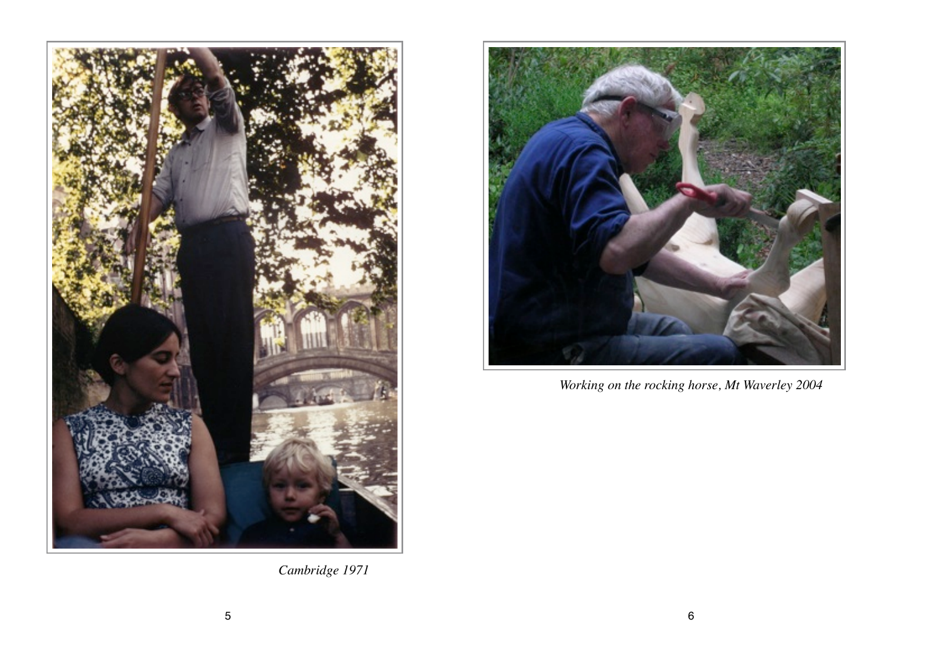



*Working on the rocking horse, Mt Waverley 2004*

*Cambridge 1971*